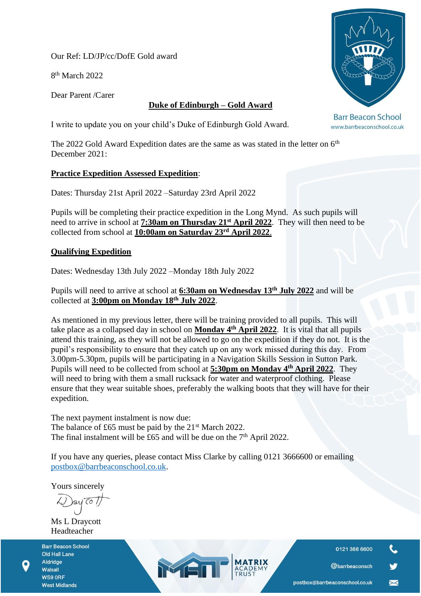Our Ref: LD/JP/cc/DofE Gold award

8 th March 2022

Dear Parent /Carer

## **Duke of Edinburgh – Gold Award**

I write to update you on your child's Duke of Edinburgh Gold Award.

The 2022 Gold Award Expedition dates are the same as was stated in the letter on  $6<sup>th</sup>$ December 2021:

## **Practice Expedition Assessed Expedition**:

Dates: Thursday 21st April 2022 –Saturday 23rd April 2022

Pupils will be completing their practice expedition in the Long Mynd. As such pupils will need to arrive in school at **7:30am on Thursday 21st April 2022**. They will then need to be collected from school at **10:00am on Saturday 23rd April 2022**.

## **Qualifying Expedition**

Dates: Wednesday 13th July 2022 –Monday 18th July 2022

Pupils will need to arrive at school at **6:30am on Wednesday 13th July 2022** and will be collected at **3:00pm on Monday 18th July 2022**.

As mentioned in my previous letter, there will be training provided to all pupils. This will take place as a collapsed day in school on **Monday 4<sup>th</sup> April 2022**. It is vital that all pupils attend this training, as they will not be allowed to go on the expedition if they do not. It is the pupil's responsibility to ensure that they catch up on any work missed during this day. From 3.00pm-5.30pm, pupils will be participating in a Navigation Skills Session in Sutton Park. Pupils will need to be collected from school at **5:30pm on Monday 4 th April 2022**. They will need to bring with them a small rucksack for water and waterproof clothing. Please ensure that they wear suitable shoes, preferably the walking boots that they will have for their expedition.

The next payment instalment is now due: The balance of £65 must be paid by the 21<sup>st</sup> March 2022. The final instalment will be £65 and will be due on the  $7<sup>th</sup>$  April 2022.

If you have any queries, please contact Miss Clarke by calling 0121 3666600 or emailing [postbox@barrbeaconschool.co.uk.](mailto:postbox@barrbeaconschool.co.uk)

MET

Yours sincerely

ay TO

Ms L Draycott Headteacher





**Barr Beacon School** www.barrbeaconschool.co.uk

0121 366 6600 @barrbeaconsch

 $\blacktriangleright$